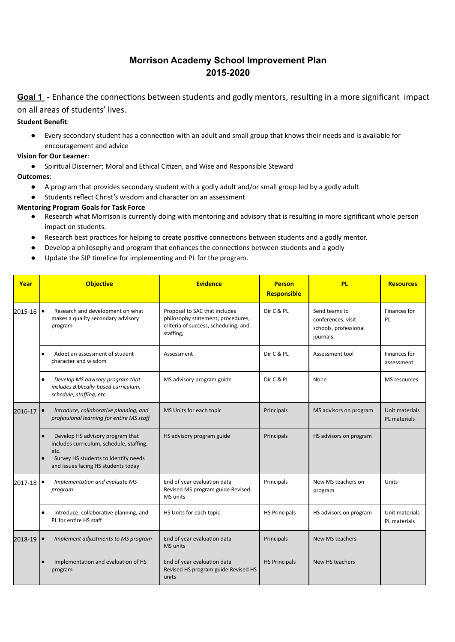# Morrison Academy School Improvement Plan 20152020

Goal 1 - Enhance the connections between students and godly mentors, resulting in a more significant impact on all areas of students' lives.

## Student Benefit:

● Every secondary student has a connection with an adult and small group that knows their needs and is available for encouragement and advice

## Vision for Our Learner:

● Spiritual Discerner; Moral and Ethical Citizen, and Wise and Responsible Steward

## Outcomes:

- A program that provides secondary student with a godly adult and/or small group led by a godly adult
- Students reflect Christ's wisdom and character on an assessment

## Mentoring Program Goals for Task Force

- Research what Morrison is currently doing with mentoring and advisory that is resulting in more significant whole person impact on students.
- Research best practices for helping to create positive connections between students and a godly mentor.
- Develop a philosophy and program that enhances the connections between students and a godly
- Update the SIP timeline for implementing and PL for the program.

| Year        |                                                                                     | <b>Objective</b>                                                                                                                                                    | <b>Evidence</b>                                                                                                         | <b>Person</b><br>Responsible | <b>PL</b>                                                                | <b>Resources</b>               |
|-------------|-------------------------------------------------------------------------------------|---------------------------------------------------------------------------------------------------------------------------------------------------------------------|-------------------------------------------------------------------------------------------------------------------------|------------------------------|--------------------------------------------------------------------------|--------------------------------|
| $2015 - 16$ |                                                                                     | Research and development on what<br>makes a quality secondary advisory<br>program                                                                                   | Proposal to SAC that includes<br>philosophy statement, procedures,<br>criteria of success, scheduling, and<br>staffing, | Dir C & PL                   | Send teams to<br>conferences, visit<br>schools, professional<br>journals | Finances for<br>PL             |
|             | $\bullet$                                                                           | Adopt an assessment of student<br>character and wisdom                                                                                                              | Assessment                                                                                                              | Dir C & PL                   | Assessment tool                                                          | Finances for<br>assessment     |
|             | $\bullet$                                                                           | Develop MS advisory program that<br>includes Biblically-based curriculum,<br>schedule, staffing, etc.                                                               | MS advisory program guide                                                                                               | Dir C & PL                   | None                                                                     | MS resources                   |
| 2016-17     | Introduce, collaborative planning, and<br>professional learning for entire MS staff |                                                                                                                                                                     | MS Units for each topic                                                                                                 | Principals                   | MS advisors on program                                                   | Unit materials<br>PL materials |
|             |                                                                                     | Develop HS advisory program that<br>includes curriculum, schedule, staffing,<br>etc.<br>Survey HS students to identify needs<br>and issues facing HS students today | HS advisory program guide                                                                                               | Principals                   | HS advisors on program                                                   |                                |
| 2017-18     | ٠                                                                                   | Implementation and evaluate MS<br>program                                                                                                                           | End of year evaluation data<br>Revised MS program guide Revised<br><b>MS</b> units                                      | Principals                   | New MS teachers on<br>program                                            | Units                          |
|             | $\bullet$                                                                           | Introduce, collaborative planning, and<br>PL for entire HS staff                                                                                                    | HS Units for each topic                                                                                                 | <b>HS Principals</b>         | HS advisors on program                                                   | Unit materials<br>PL materials |
| 2018-19     |                                                                                     | Implement adjustments to MS program                                                                                                                                 | End of year evaluation data<br><b>MS</b> units                                                                          | Principals                   | New MS teachers                                                          |                                |
|             |                                                                                     | Implementation and evaluation of HS<br>program                                                                                                                      | End of year evaluation data<br>Revised HS program guide Revised HS<br>units                                             | <b>HS Principals</b>         | New HS teachers                                                          |                                |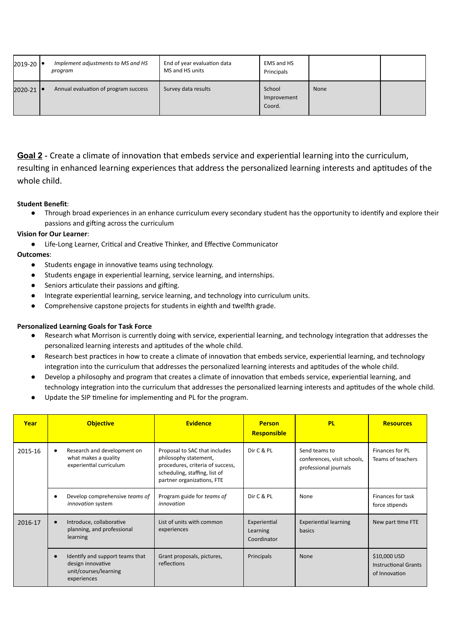| 2019-20 | Implement adjustments to MS and HS<br>program | End of year evaluation data<br>MS and HS units | EMS and HS<br>Principals        |      |  |
|---------|-----------------------------------------------|------------------------------------------------|---------------------------------|------|--|
| 2020-21 | Annual evaluation of program success          | Survey data results                            | School<br>Improvement<br>Coord. | None |  |

Goal 2 - Create a climate of innovation that embeds service and experiential learning into the curriculum, resulting in enhanced learning experiences that address the personalized learning interests and aptitudes of the whole child.

#### Student Benefit:

● Through broad experiences in an enhance curriculum every secondary student has the opportunity to idenĕfy and explore their passions and gifting across the curriculum

## Vision for Our Learner:

● Life-Long Learner, Critical and Creative Thinker, and Effective Communicator

## Outcomes:

- Students engage in innovative teams using technology.
- Students engage in experienĕal learning, service learning, and internships.
- Seniors articulate their passions and gifting.
- Integrate experienĕal learning, service learning, and technology into curriculum units.
- Comprehensive capstone projects for students in eighth and twelfth grade.

#### Personalized Learning Goals for Task Force

- Research what Morrison is currently doing with service, experiential learning, and technology integration that addresses the personalized learning interests and aptitudes of the whole child.
- Research best practices in how to create a climate of innovation that embeds service, experiential learning, and technology integration into the curriculum that addresses the personalized learning interests and aptitudes of the whole child.
- Develop a philosophy and program that creates a climate of innovation that embeds service, experiential learning, and technology integration into the curriculum that addresses the personalized learning interests and aptitudes of the whole child.
- Update the SIP timeline for implementing and PL for the program.

| Year    | <b>Objective</b>                                                                             | <b>Evidence</b>                                                                                                                                           | <b>Person</b><br>Responsible            | <b>PL</b>                                                             | <b>Resources</b>                                             |
|---------|----------------------------------------------------------------------------------------------|-----------------------------------------------------------------------------------------------------------------------------------------------------------|-----------------------------------------|-----------------------------------------------------------------------|--------------------------------------------------------------|
| 2015-16 | Research and development on<br>what makes a quality<br>experiential curriculum               | Proposal to SAC that includes<br>philosophy statement,<br>procedures, criteria of success,<br>scheduling, staffing, list of<br>partner organizations, FTE | Dir C & PL                              | Send teams to<br>conferences, visit schools,<br>professional journals | Finances for PL<br>Teams of teachers                         |
|         | Develop comprehensive teams of<br>innovation system                                          | Program guide for teams of<br>innovation                                                                                                                  | Dir C & PL                              | None                                                                  | Finances for task<br>force stipends                          |
| 2016-17 | Introduce, collaborative<br>planning, and professional<br>learning                           | List of units with common<br>experiences                                                                                                                  | Experiential<br>Learning<br>Coordinator | <b>Experiential learning</b><br>basics                                | New part time FTE                                            |
|         | Identify and support teams that<br>design innovative<br>unit/courses/learning<br>experiences | Grant proposals, pictures,<br>reflections                                                                                                                 | Principals                              | <b>None</b>                                                           | \$10,000 USD<br><b>Instructional Grants</b><br>of Innovation |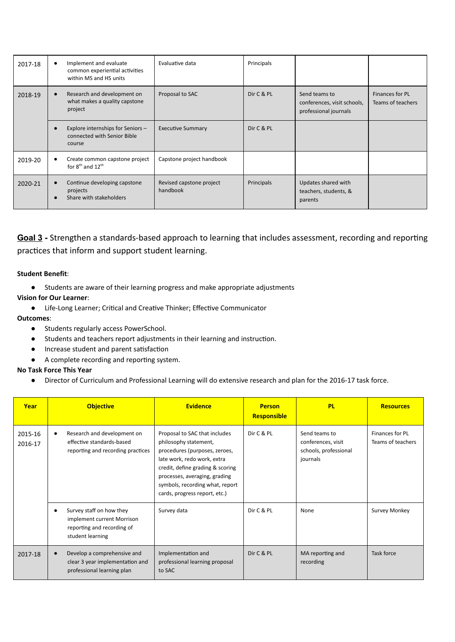| 2017-18 | Implement and evaluate<br>common experiential activities<br>within MS and HS units | Evaluative data                      | Principals |                                                                       |                                      |
|---------|------------------------------------------------------------------------------------|--------------------------------------|------------|-----------------------------------------------------------------------|--------------------------------------|
| 2018-19 | Research and development on<br>what makes a quality capstone<br>project            | Proposal to SAC                      | Dir C & PL | Send teams to<br>conferences, visit schools,<br>professional journals | Finances for PL<br>Teams of teachers |
|         | Explore internships for Seniors -<br>connected with Senior Bible<br>course         | <b>Executive Summary</b>             | Dir C & PL |                                                                       |                                      |
| 2019-20 | Create common capstone project<br>for $8^{th}$ and $12^{th}$                       | Capstone project handbook            |            |                                                                       |                                      |
| 2020-21 | Continue developing capstone<br>projects<br>Share with stakeholders                | Revised capstone project<br>handbook | Principals | Updates shared with<br>teachers, students, &<br>parents               |                                      |

Goal 3 - Strengthen a standards-based approach to learning that includes assessment, recording and reporting practices that inform and support student learning.

#### Student Benefit:

● Students are aware of their learning progress and make appropriate adjustments

#### Vision for Our Learner:

● Life-Long Learner; Critical and Creative Thinker; Effective Communicator

#### Outcomes:

- Students regularly access PowerSchool.
- Students and teachers report adjustments in their learning and instruction.
- $\bullet$  Increase student and parent satisfaction
- A complete recording and reporting system.

#### No Task Force This Year

● Director of Curriculum and Professional Learning will do extensive research and plan for the 2016-17 task force.

| Year               |   | <b>Objective</b>                                                                                         | <b>Evidence</b>                                                                                                                                                                                                                                                 | <b>Person</b><br><b>Responsible</b> | <b>PL</b>                                                                | <b>Resources</b>                     |
|--------------------|---|----------------------------------------------------------------------------------------------------------|-----------------------------------------------------------------------------------------------------------------------------------------------------------------------------------------------------------------------------------------------------------------|-------------------------------------|--------------------------------------------------------------------------|--------------------------------------|
| 2015-16<br>2016-17 | ٠ | Research and development on<br>effective standards-based<br>reporting and recording practices            | Proposal to SAC that includes<br>philosophy statement,<br>procedures (purposes, zeroes,<br>late work, redo work, extra<br>credit, define grading & scoring<br>processes, averaging, grading<br>symbols, recording what, report<br>cards, progress report, etc.) | Dir C & PL                          | Send teams to<br>conferences, visit<br>schools, professional<br>journals | Finances for PL<br>Teams of teachers |
|                    | ٠ | Survey staff on how they<br>implement current Morrison<br>reporting and recording of<br>student learning | Survey data                                                                                                                                                                                                                                                     | Dir C & PL                          | None                                                                     | Survey Monkey                        |
| 2017-18            |   | Develop a comprehensive and<br>clear 3 year implementation and<br>professional learning plan             | Implementation and<br>professional learning proposal<br>to SAC                                                                                                                                                                                                  | Dir C & PL                          | MA reporting and<br>recording                                            | Task force                           |